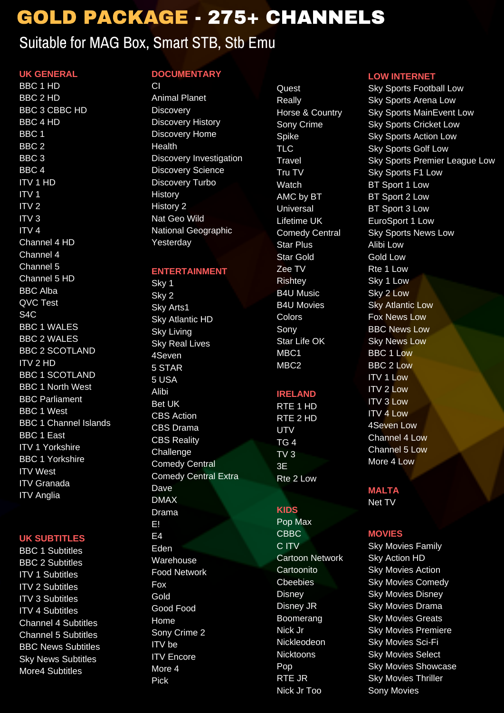# GOLD PACKAGE - 275+ CHANNELS

# Suitable for MAG Box, Smart STB, Stb Emu

## **UK GENERAL**

BBC 1 HD BBC 2 HD BBC 3 CBBC HD BBC 4 HD BBC 1  $BC 2$ BBC 3 BBC 4 ITV 1 HD  $\sum_{i=1}^{n}$  $\frac{1}{10}$  $\frac{1}{\pi}$ ITV 4 Channel 4 HD Channel 4 Channel 5 Channel 5 HD BBC Alba QVC Test  $\frac{1}{24}$ C BBC 1 WALES BBC 2 WALES BBC 2 SCOTLAND **ITV 2 HD** BBC 1 SCOTLAND BBC 1 North West BBC Parliament BBC 1 West BBC 1 Channel Islands BBC 1 East ITV 1 Yorkshire BBC 1 Yorkshire ITV West ITV Granada ITV Anglia

### **UK SUBTITLES**

BBC 1 Subtitles BBC 2 Subtitles ITV 1 Subtitles ITV 2 Subtitles ITV 3 Subtitles ITV 4 Subtitles Channel 4 Subtitles Channel 5 Subtitles BBC News Subtitles Sky News Subtitles More4 Subtitles

# **DOCUMENTARY**

Animal Planet Discovery Discovery History Discovery Home Health Discovery Investigation Discovery Science Discovery Turbo History History 2 Nat Geo Wild National Geographic Yesterday

**ENTERTAINMENT** Sky 1 Sky 2 Sky Arts1 Sky Atlantic HD Sky Living Sky Real Lives  $45$ 5 STAR 5 USA Alibi Bet UK CBS Action CBS Drama CBS Reality Challenge Comedy Central Comedy Central Extra Dave DMAX Drama E! E4 Eden Warehouse Food Network Fox Gold Good Food Home Sony Crime 2 ITV be ITV Encore More 4

Pick

**Quest** Really Horse & Country Sony Crime **Spike** TLC. Travel Tru TV Watch AMC by BT Universal Lifetime UK Comedy Central Star Plus Star Gold Zee TV Rishtey B4U Music B4U Movies Colors Sony Star Life OK MBC<sub>1</sub>  $m<sub>2</sub>$ 

## **IRELAND**

RTE 1 HD RTE 2 HD UTV TG 4 TV 3 3E Rte 2 Low

### **KIDS** Pop Max

CBBC C ITV Cartoon Network Cartoonito Cbeebies Disney Disney JR Boomerang Nick Jr Nickleodeon Nicktoons Pop RTE JR Nick Jr Too

### **LOW INTERNE**

Sky Sports Football Low Sky Sports Arena Low Sky Sports MainEvent Low Sky Sports Cricket Low Sky Sports Action Low Sky Sports Golf Low Sky Sports Premier League Low Sky Sports F1 Low BT Sport 1 Low BT Sport 2 Low BT Sport 3 Low EuroSport 1 Low Sky Sports News Low Alibi Low Gold Low Rte 1 Low Sky 1 Low Sky 2 Low Sky Atlantic Low Fox News Low BBC News Low Sky News Low BBC 1 Low BBC 2 Low ITV 1 Low ITV 2 Low ITV 3 Low ITV 4 Low 4Seven Low Channel 4 Low Channel 5 Low More 4 Low

**MALTA** Net TV

## **MOVIES**

Sky Movies Family Sky Action HD Sky Movies Action Sky Movies Comedy Sky Movies Disney Sky Movies Drama Sky Movies Greats Sky Movies Premiere Sky Movies Sci-Fi Sky Movies Select Sky Movies Showcase Sky Movies Thriller Sony Movies